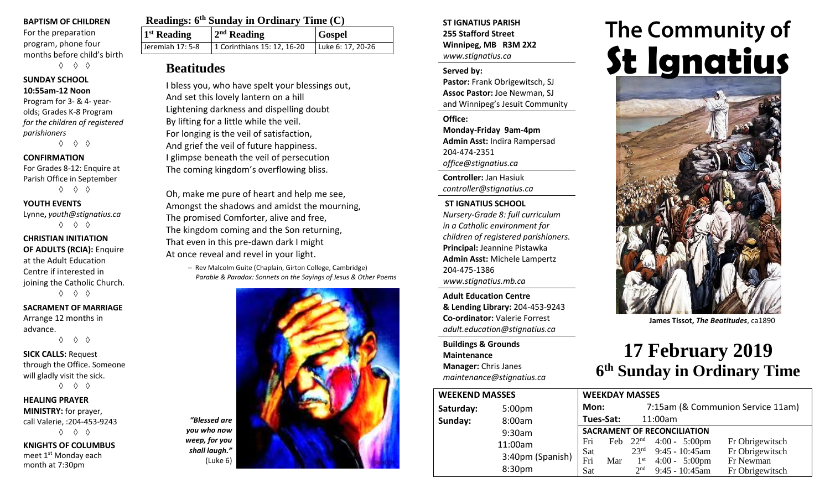#### **BAPTISM OF CHILDREN**

For the preparation program, phone four months before child's birth ◊ ◊ ◊

# **SUNDAY SCHOOL**

**10:55am-12 Noon** Program for 3- & 4- yearolds; Grades K-8 Program *for the children of registered* 

*parishioners* ◊ ◊ ◊

#### **CONFIRMATION**

For Grades 8-12: Enquire at Parish Office in September ◊ ◊ ◊

#### **YOUTH EVENTS**

Lynne**,** *youth@stignatius.ca* ◊ ◊ ◊

#### **CHRISTIAN INITIATION OF ADULTS (RCIA):** Enquire at the Adult Education Centre if interested in joining the Catholic Church.

◊ ◊ ◊

#### **SACRAMENT OF MARRIAGE** Arrange 12 months in

advance. ◊ ◊ ◊

**SICK CALLS:** Request through the Office. Someone will gladly visit the sick. ◊ ◊ ◊

**HEALING PRAYER MINISTRY:** for prayer, call Valerie, :204-453-9243 ◊ ◊ ◊

**KNIGHTS OF COLUMBUS** meet 1<sup>st</sup> Monday each month at 7:30pm

| <b>Readings: 6th Sunday in Ordinary Time (C)</b> |                             |                   |  |
|--------------------------------------------------|-----------------------------|-------------------|--|
| 1 <sup>st</sup> Reading                          | $2nd$ Reading               | <b>Gospel</b>     |  |
| Jeremiah 17: 5-8                                 | 1 Corinthians 15: 12, 16-20 | Luke 6: 17, 20-26 |  |

### **Beatitudes**

I bless you, who have spelt your blessings out, And set this lovely lantern on a hill Lightening darkness and dispelling doubt By lifting for a little while the veil. For longing is the veil of satisfaction, And grief the veil of future happiness. I glimpse beneath the veil of persecution The coming kingdom's overflowing bliss.

Oh, make me pure of heart and help me see, Amongst the shadows and amidst the mourning, The promised Comforter, alive and free, The kingdom coming and the Son returning, That even in this pre-dawn dark I might At once reveal and revel in your light.

> – Rev Malcolm Guite (Chaplain, Girton College, Cambridge) *Parable & Paradox: Sonnets on the Sayings of Jesus & Other Poems*



#### **ST IGNATIUS PARISH 255 Stafford Street Winnipeg, MB R3M 2X2** *www.stignatius.ca*

#### **Served by:**

**Pastor:** Frank Obrigewitsch, SJ **Assoc Pastor:** Joe Newman, SJ and Winnipeg's Jesuit Community

**Office: Monday-Friday 9am-4pm Admin Asst:** Indira Rampersad 204-474-2351 *office@stignatius.ca*

**Controller:** Jan Hasiuk *controller@stignatius.ca*

#### **ST IGNATIUS SCHOOL**

*Nursery-Grade 8: full curriculum in a Catholic environment for children of registered parishioners.* **Principal:** Jeannine Pistawka **Admin Asst:** Michele Lampertz 204-475-1386 *www.stignatius.mb.ca*

**Adult Education Centre & Lending Library:** 204-453-9243 **Co-ordinator:** Valerie Forrest *adult.education@stignatius.ca*

**Buildings & Grounds Maintenance Manager:** Chris Janes *maintenance@stignatius.ca*

| <b>WEEKEND MASSES</b> |                  |            | <b>WEEKDAY MASSES</b>   |                                     |                               |
|-----------------------|------------------|------------|-------------------------|-------------------------------------|-------------------------------|
| Saturday:             | 5:00pm           | Mon:       |                         |                                     | 7:1                           |
| Sunday:               | 8:00am           |            | Tues-Sat:               |                                     | 11:0                          |
|                       | 9:30am           |            | <b>SACRAMENT OF REC</b> |                                     |                               |
|                       | 11:00am          | Fri        | Feb                     | 22 <sup>nd</sup>                    | $\overline{4}$                |
|                       | 3:40pm (Spanish) | Sat        |                         | 23 <sup>rd</sup><br>1 <sup>st</sup> | 9                             |
|                       | 8:30pm           | Fri<br>Sat | Mar                     | 2 <sub>nd</sub>                     | $\overline{4}$<br>$\mathbf Q$ |

# The Community of **St Ignatius**



**James Tissot,** *The Beatitudes*, ca1890

# **17 February 2019 6 th Sunday in Ordinary Time**

|        | <b>WEEKDAY MASSES</b> |     |                                   |                                    |                 |  |
|--------|-----------------------|-----|-----------------------------------|------------------------------------|-----------------|--|
|        | Mon:                  |     | 7:15am (& Communion Service 11am) |                                    |                 |  |
|        | Tues-Sat:             |     |                                   | 11:00am                            |                 |  |
|        |                       |     |                                   | <b>SACRAMENT OF RECONCILIATION</b> |                 |  |
|        | Fri                   |     |                                   | Feb $22^{nd}$ 4:00 - 5:00pm        | Fr Obrigewitsch |  |
| anish) | Sat                   |     | 23 <sup>rd</sup>                  | $9:45 - 10:45$ am                  | Fr Obrigewitsch |  |
|        | Fri                   | Mar | 1 <sup>st</sup>                   | $4:00 - 5:00 \text{pm}$            | Fr Newman       |  |
|        | Sat                   |     | 2 <sub>nd</sub>                   | 9:45 - 10:45am                     | Fr Obrigewitsch |  |